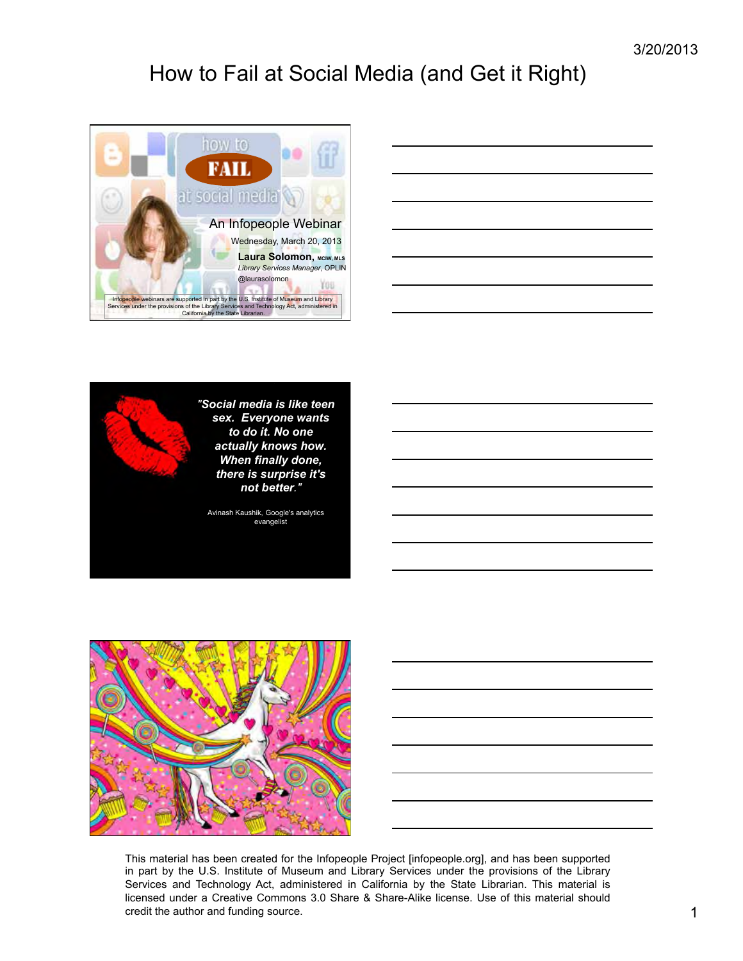

| <u> 1990 - Jan James Sandarík, fyrstur og fyrir sem og fyrir sem og fyrir sem og fyrir sem og fyrir sem og fyrir </u> | <b>STATISTICS</b> |
|-----------------------------------------------------------------------------------------------------------------------|-------------------|
|                                                                                                                       |                   |
|                                                                                                                       |                   |
|                                                                                                                       |                   |
|                                                                                                                       |                   |
|                                                                                                                       |                   |
|                                                                                                                       |                   |







This material has been created for the Infopeople Project [infopeople.org], and has been supported in part by the U.S. Institute of Museum and Library Services under the provisions of the Library Services and Technology Act, administered in California by the State Librarian. This material is licensed under a Creative Commons 3.0 Share & Share-Alike license. Use of this material should credit the author and funding source. 1 and 1 and 2 and 2 and 2 and 2 and 2 and 2 and 2 and 2 and 2 and 2 and 2 and 2 and 2 and 2 and 2 and 2 and 2 and 2 and 2 and 2 and 2 and 2 and 2 and 2 and 2 and 2 and 2 and 2 and 2 an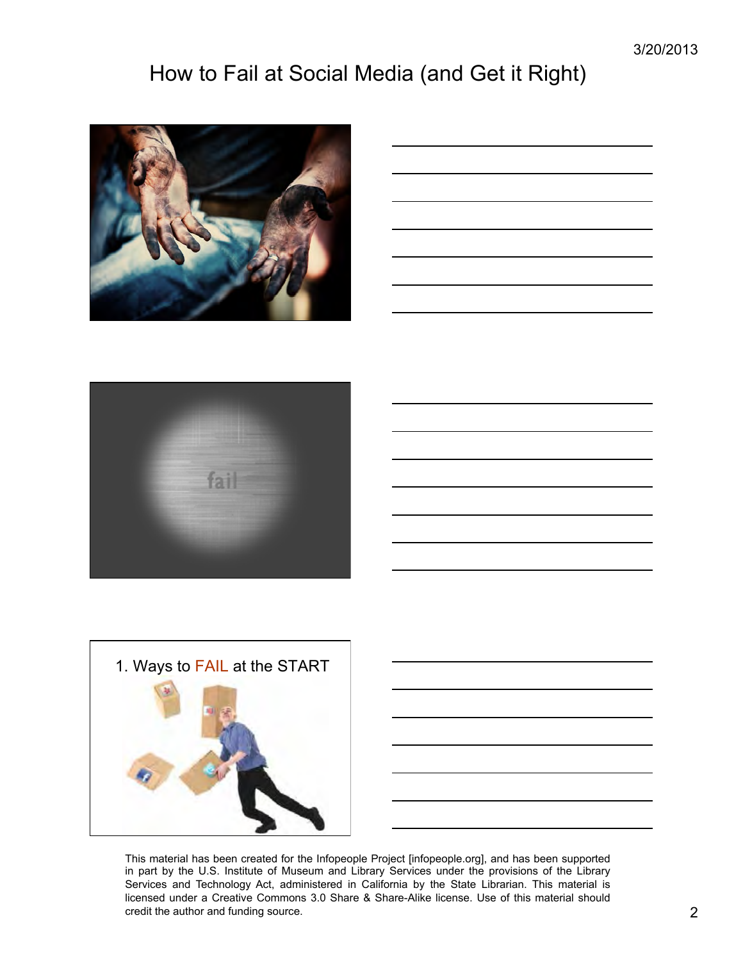

| <u> 1989 - Johann Stoff, amerikansk politiker (d. 1989)</u>                                                           |  |  |
|-----------------------------------------------------------------------------------------------------------------------|--|--|
|                                                                                                                       |  |  |
| <u> 1989 - Johann Stoff, deutscher Stoff, der Stoff, der Stoff, der Stoff, der Stoff, der Stoff, der Stoff, der S</u> |  |  |
| <u> 1989 - Johann Stoff, amerikansk politiker (d. 1989)</u>                                                           |  |  |
|                                                                                                                       |  |  |
|                                                                                                                       |  |  |
| <u> 1989 - Johann Stein, markin sanadi samani samani samani samani samani samani samani samani samani samani sa</u>   |  |  |
| <u> 1989 - Johann Stoff, deutscher Stoff, der Stoff, der Stoff, der Stoff, der Stoff, der Stoff, der Stoff, der S</u> |  |  |
|                                                                                                                       |  |  |
| <u> 1989 - Jan James James James James James James James James James James James James James James James James J</u>  |  |  |





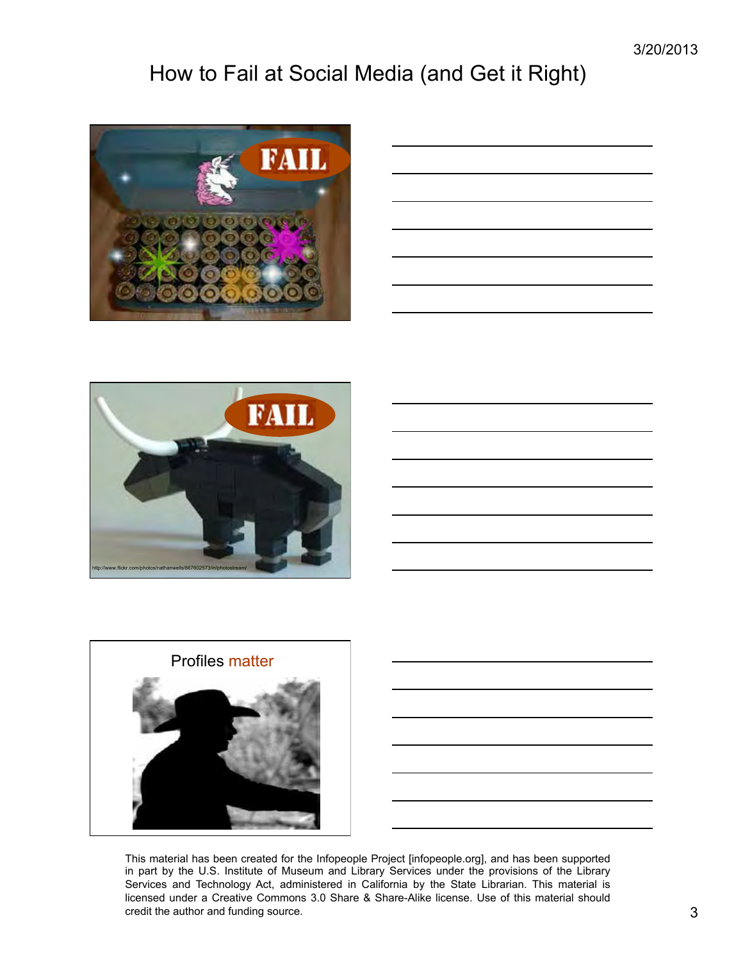3/20/2013

# How to Fail at Social Media (and Get it Right)



| <u> 1989 - Johann Harry Harry Harry Harry Harry Harry Harry Harry Harry Harry Harry Harry Harry Harry Harry Harry</u> |                                                                                                                       |  | $\overline{\phantom{a}}$ |
|-----------------------------------------------------------------------------------------------------------------------|-----------------------------------------------------------------------------------------------------------------------|--|--------------------------|
|                                                                                                                       |                                                                                                                       |  |                          |
| <u> 1989 - Johann Barn, fransk politik amerikansk politik (</u>                                                       |                                                                                                                       |  |                          |
|                                                                                                                       | the control of the control of the control of the control of                                                           |  | $\overline{\phantom{a}}$ |
|                                                                                                                       |                                                                                                                       |  |                          |
|                                                                                                                       |                                                                                                                       |  | $\overline{\phantom{a}}$ |
| $\overline{\phantom{a}}$                                                                                              | <u> 1980 - Johann Stein, marwolaethau a bhann an t-Albann an t-Albann an t-Albann an t-Albann an t-Albann an t-Al</u> |  |                          |
|                                                                                                                       | the control of the control of the control of the control of the control of                                            |  |                          |
|                                                                                                                       |                                                                                                                       |  |                          |





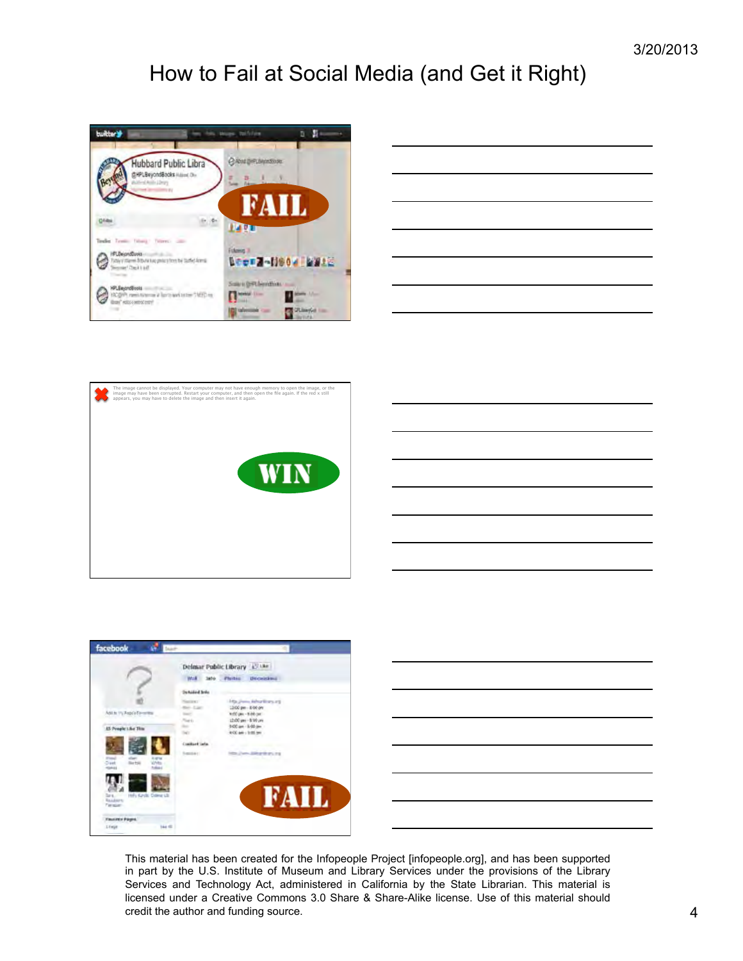

|                                              | ____ |
|----------------------------------------------|------|
|                                              |      |
|                                              |      |
| the control of the control of the control of |      |





|  | ____  |
|--|-------|
|  |       |
|  |       |
|  | _____ |
|  |       |
|  |       |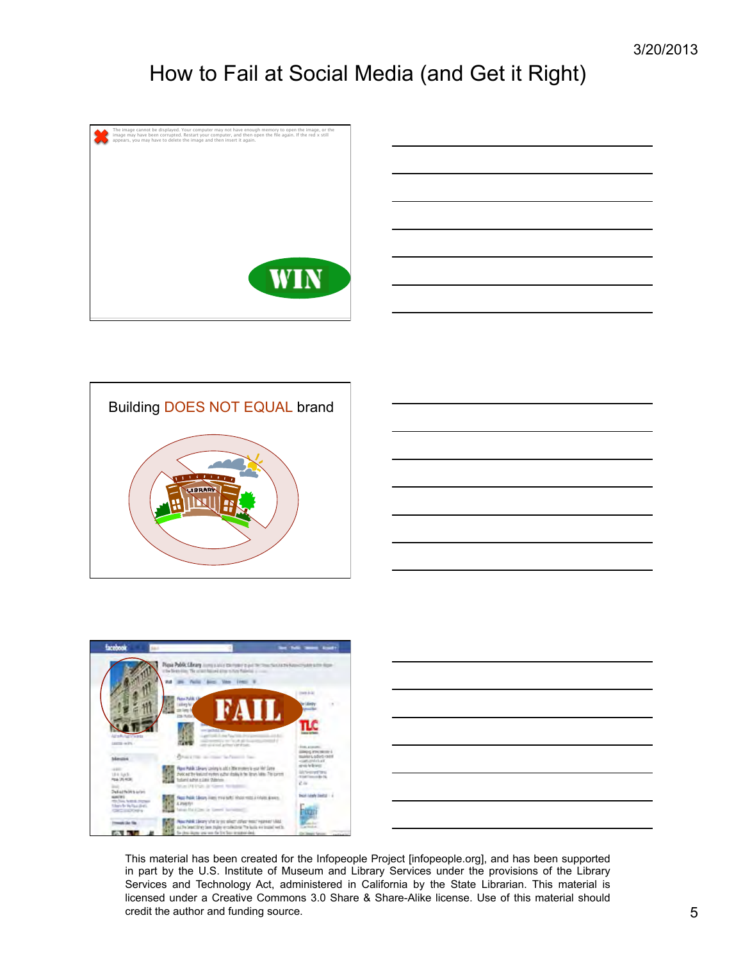









| the control of the control of the control of the control of the control of the control of the control of the control of the control of the control of the control of the control of the control of the control of the control |  |  |
|-------------------------------------------------------------------------------------------------------------------------------------------------------------------------------------------------------------------------------|--|--|
|                                                                                                                                                                                                                               |  |  |
|                                                                                                                                                                                                                               |  |  |
|                                                                                                                                                                                                                               |  |  |
|                                                                                                                                                                                                                               |  |  |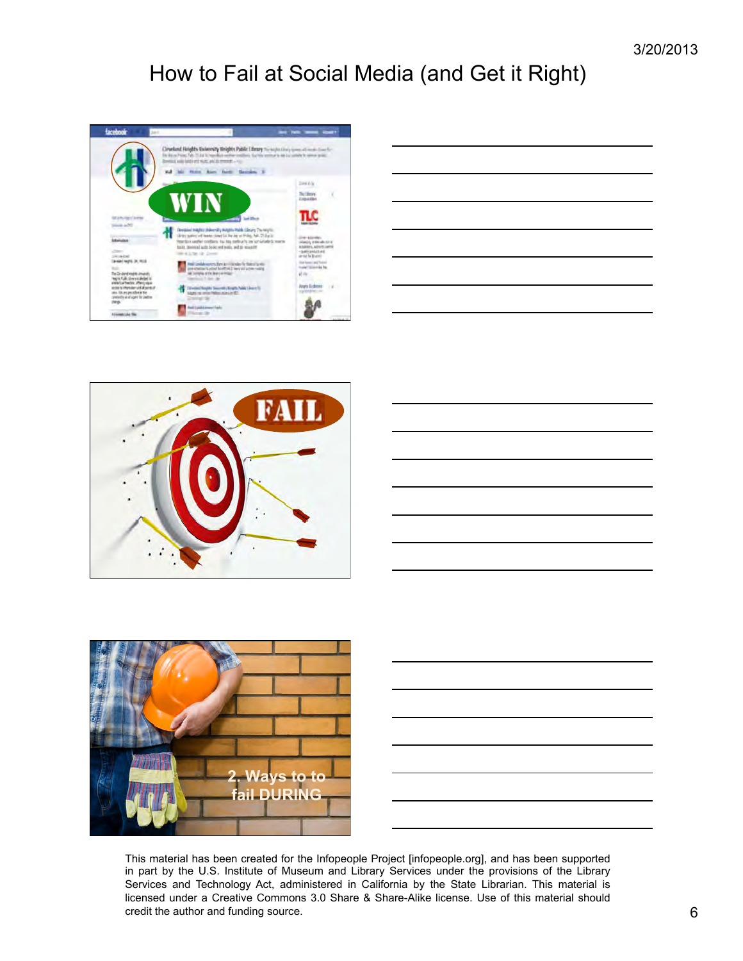









| <u> 1989 - Johann Stoff, deutscher Stoff, der Stoff, der Stoff, der Stoff, der Stoff, der Stoff, der Stoff, der S</u> |  |  |
|-----------------------------------------------------------------------------------------------------------------------|--|--|
| <u> 1989 - Johann Stoff, amerikansk politiker (d. 1989)</u>                                                           |  |  |
|                                                                                                                       |  |  |
| <u> 1989 - Johann Stoff, amerikansk politiker (d. 1989)</u>                                                           |  |  |
| <u> 1989 - Johann Stoff, deutscher Stoff, der Stoff, der Stoff, der Stoff, der Stoff, der Stoff, der Stoff, der S</u> |  |  |
|                                                                                                                       |  |  |

This material has been created for the Infopeople Project [infopeople.org], and has been supported in part by the U.S. Institute of Museum and Library Services under the provisions of the Library Services and Technology Act, administered in California by the State Librarian. This material is licensed under a Creative Commons 3.0 Share & Share-Alike license. Use of this material should credit the author and funding source. 6 6 6 6 6 6 7 6 7 7 8 7 7 8 7 7 8 7 7 8 7 7 8 7 7 8 7 8 7 7 8 7 8 7 8 7 8 7 8 7 8 7 8 7 8 7 8 7 8 7 8 7 8 7 8 7 8 7 8 7 8 7 8 7 8 7 8 7 8 7 8 7 8 7 8 7 8 7 8 7 8 7 8 7 8 7 8 7 8 7 8 7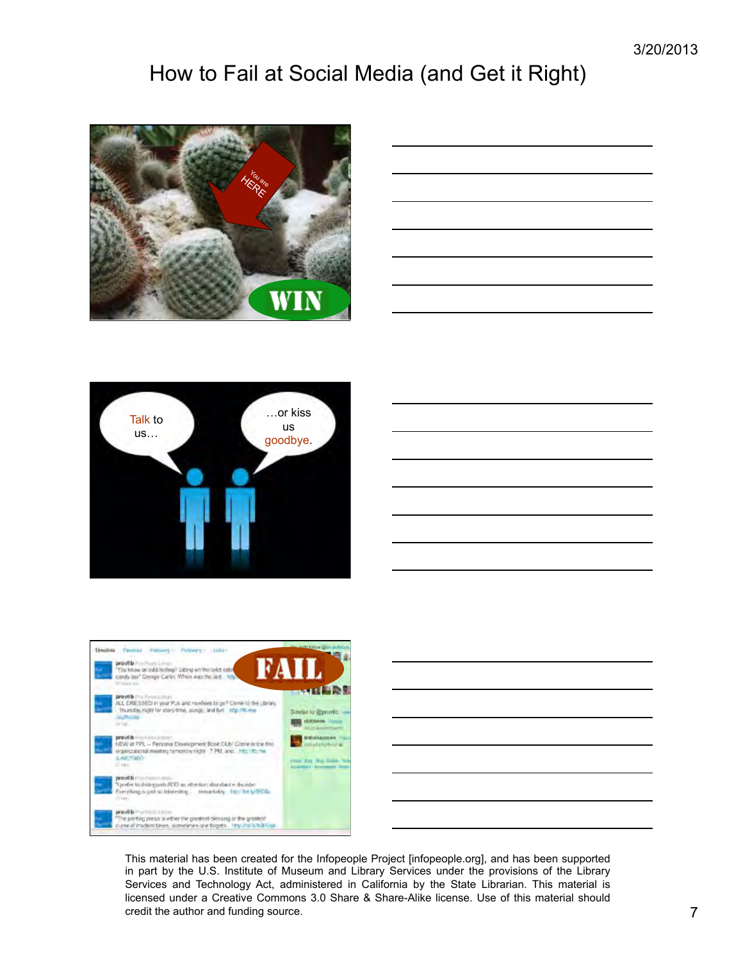

| the control of the control of the control of the control of the control of                                                                                                                                                    |                               |
|-------------------------------------------------------------------------------------------------------------------------------------------------------------------------------------------------------------------------------|-------------------------------|
|                                                                                                                                                                                                                               |                               |
|                                                                                                                                                                                                                               |                               |
|                                                                                                                                                                                                                               |                               |
| the control of the control of the control of the control of the control of the control of the control of the control of the control of the control of the control of the control of the control of the control of the control |                               |
|                                                                                                                                                                                                                               |                               |
|                                                                                                                                                                                                                               |                               |
|                                                                                                                                                                                                                               |                               |
|                                                                                                                                                                                                                               |                               |
|                                                                                                                                                                                                                               |                               |
|                                                                                                                                                                                                                               |                               |
|                                                                                                                                                                                                                               |                               |
|                                                                                                                                                                                                                               |                               |
| <u> 1989 - Johann Stoff, amerikansk politiker (d. 1989)</u>                                                                                                                                                                   | the control of the control of |
|                                                                                                                                                                                                                               |                               |
|                                                                                                                                                                                                                               |                               |
|                                                                                                                                                                                                                               |                               |
|                                                                                                                                                                                                                               |                               |







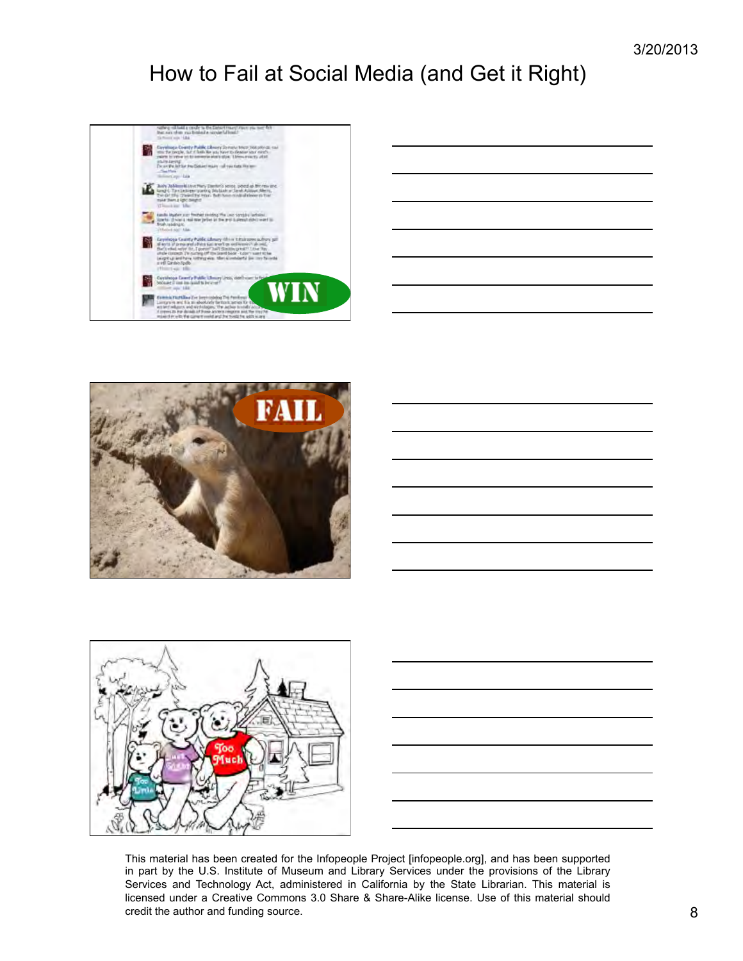

| <u>experience</u> |  |  |
|-------------------|--|--|





| <u> 1989 - Andrea Santa Andrea Andrea Andrea Andrea Andrea Andrea Andrea Andrea Andrea Andrea Andrea Andrea Andr</u> |  |  |
|----------------------------------------------------------------------------------------------------------------------|--|--|
|                                                                                                                      |  |  |
|                                                                                                                      |  |  |
|                                                                                                                      |  |  |
| a series and the contract of the contract of the contract of the contract of the contract of the contract of th      |  |  |
|                                                                                                                      |  |  |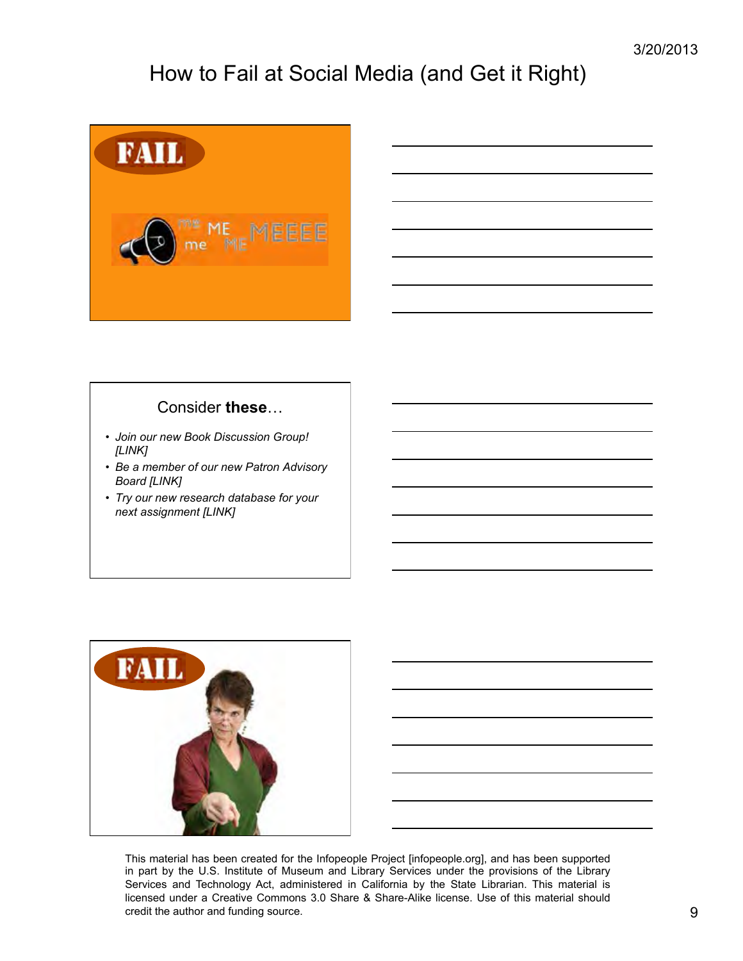

#### Consider **these**…

- *Join our new Book Discussion Group! [LINK]*
- *Be a member of our new Patron Advisory Board [LINK]*
- *Try our new research database for your next assignment [LINK]*



| <u> 1989 - Johann Stoff, amerikansk politiker (d. 1989)</u>                                                           |  |  |
|-----------------------------------------------------------------------------------------------------------------------|--|--|
| <u> 1989 - Johann Stoff, amerikansk politiker (d. 1989)</u>                                                           |  |  |
|                                                                                                                       |  |  |
| <u> 1989 - Johann Stoff, deutscher Stoff, der Stoff, der Stoff, der Stoff, der Stoff, der Stoff, der Stoff, der S</u> |  |  |
| <u> 1989 - Johann Stoff, deutscher Stoff, der Stoff, der Stoff, der Stoff, der Stoff, der Stoff, der Stoff, der S</u> |  |  |
|                                                                                                                       |  |  |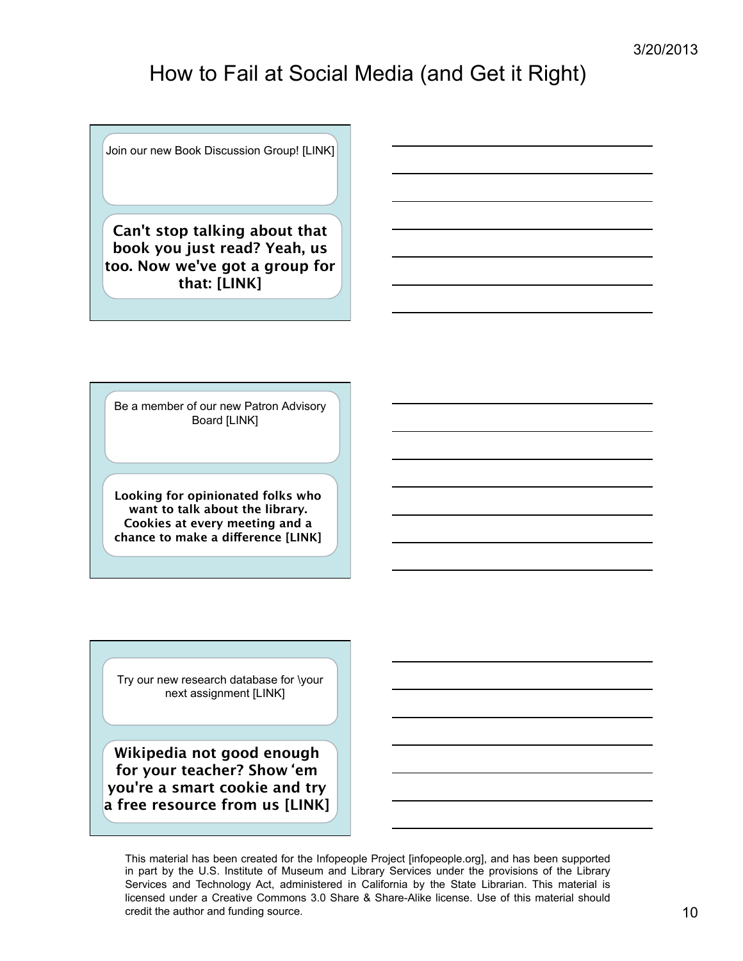Join our new Book Discussion Group! [LINK]

**Can't stop talking about that book you just read? Yeah, us too. Now we've got a group for that: [LINK]**

Be a member of our new Patron Advisory Board [LINK]

**Looking for opinionated folks who want to talk about the library. Cookies at every meeting and a chance to make a difference [LINK]** 

Try our new research database for \your next assignment [LINK]

**Wikipedia not good enough for your teacher? Show**'**em you're a smart cookie and try a free resource from us [LINK]** 

This material has been created for the Infopeople Project [infopeople.org], and has been supported in part by the U.S. Institute of Museum and Library Services under the provisions of the Library Services and Technology Act, administered in California by the State Librarian. This material is licensed under a Creative Commons 3.0 Share & Share-Alike license. Use of this material should credit the author and funding source. 10 and  $\sigma$  10 and  $\sigma$  10 and  $\sigma$  10 and  $\sigma$  10 and  $\sigma$  10 and  $\sigma$  10 and  $\sigma$  10 and  $\sigma$  10 and  $\sigma$  10 and  $\sigma$  10 and  $\sigma$  10 and  $\sigma$  10 and  $\sigma$  10 and  $\sigma$  10 and  $\sigma$  10 a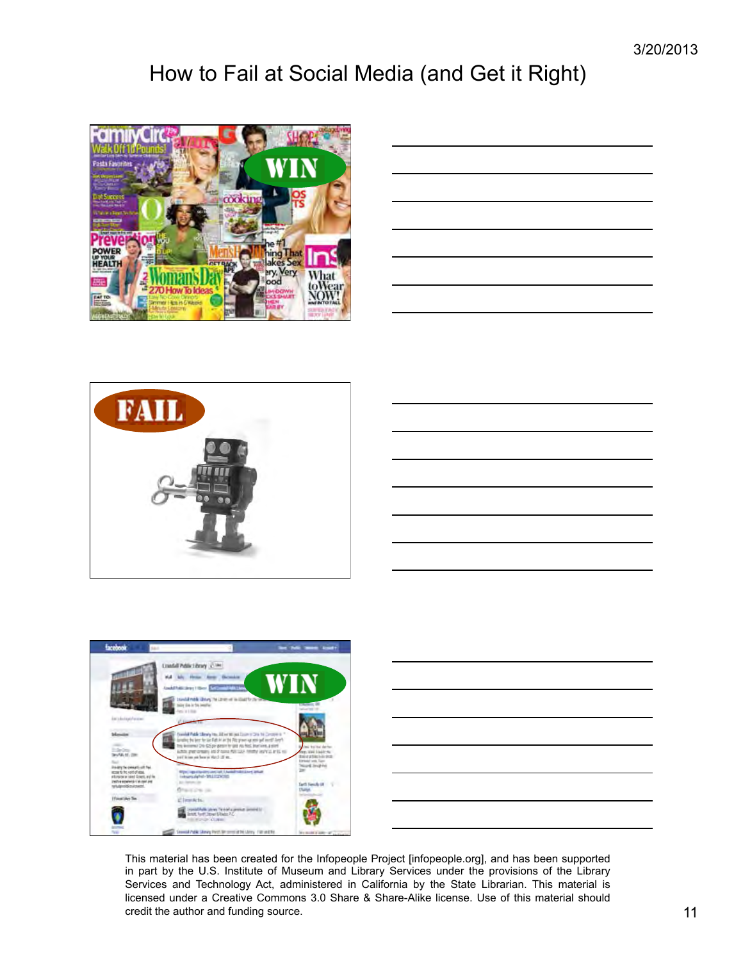







|                                                                                                                                                                        |  | __            |
|------------------------------------------------------------------------------------------------------------------------------------------------------------------------|--|---------------|
|                                                                                                                                                                        |  |               |
|                                                                                                                                                                        |  | $\sim$ $\sim$ |
|                                                                                                                                                                        |  |               |
| ,我们也不会有一个人的事情。""我们的人,我们也不会有一个人的人,我们也不会有一个人的人,我们也不会有一个人的人,我们也不会有一个人的人,我们也不会有一个人的人,<br>第二百一十一章 第二百一十一章 第二百一十一章 第二百一十一章 第二百一章 第二百一章 第二百一章 第二百一章 第二百一章 第二百一章 第二百一章 第二百一章 第 |  | _____<br>____ |
|                                                                                                                                                                        |  |               |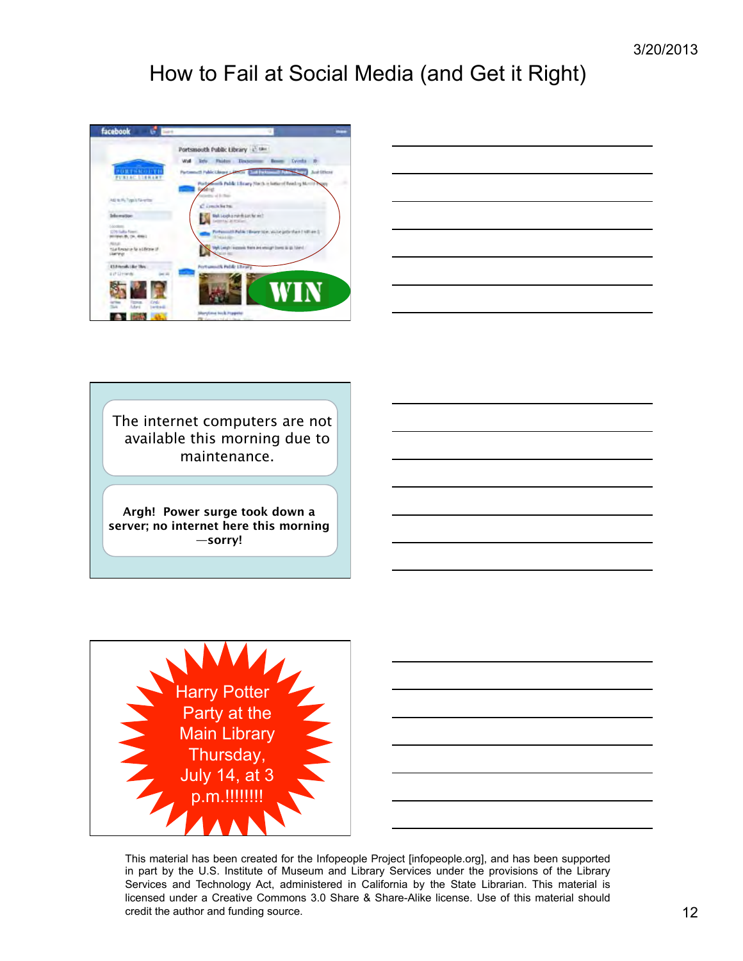



The internet computers are not available this morning due to maintenance.

**Argh! Power surge took down a server; no internet here this morning —sorry!**



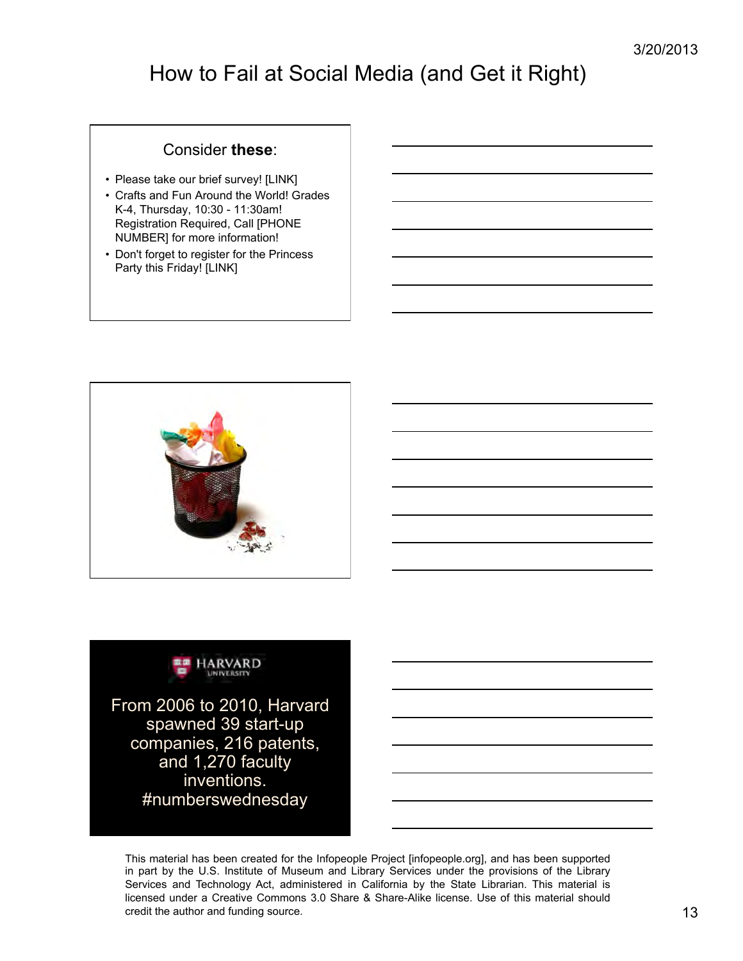#### Consider **these**:

- Please take our brief survey! [LINK]
- Crafts and Fun Around the World! Grades K-4, Thursday, 10:30 - 11:30am! Registration Required, Call [PHONE NUMBER] for more information!
- Don't forget to register for the Princess Party this Friday! [LINK]





From 2006 to 2010, Harvard spawned 39 start-up companies, 216 patents, and 1,270 faculty inventions. #numberswednesday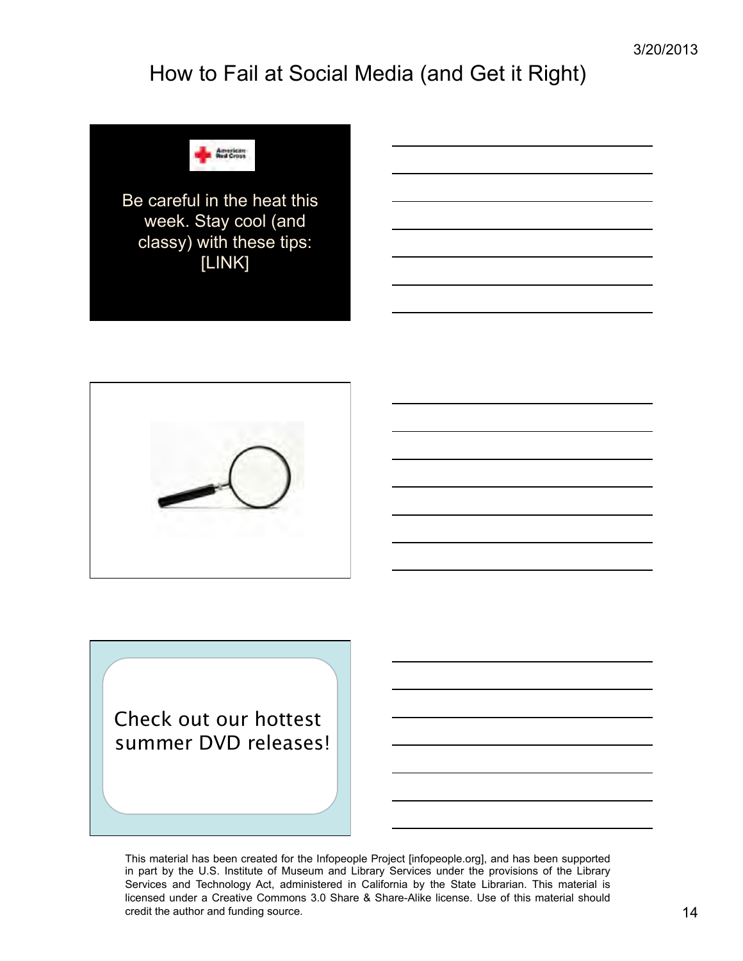

Be careful in the heat this week. Stay cool (and classy) with these tips: [LINK]



Check out our hottest summer DVD releases!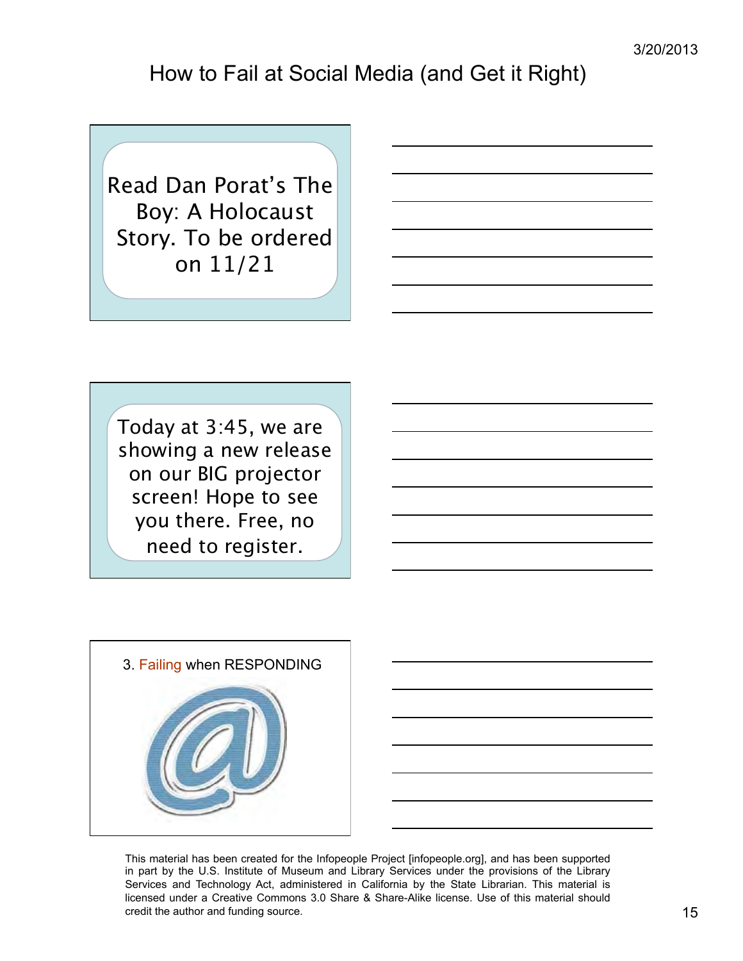Read Dan Porat's The Boy: A Holocaust Story. To be ordered on 11/21

Today at 3:45, we are showing a new release on our BIG projector screen! Hope to see you there. Free, no need to register.

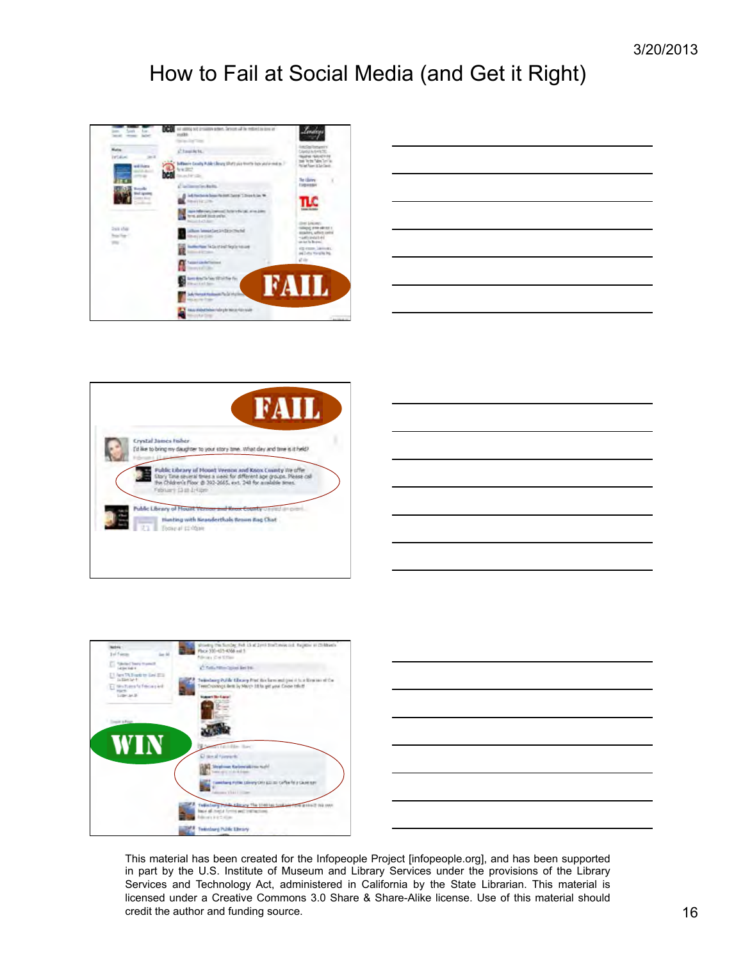

| <u> The Communication of the Communication of</u> |  |
|---------------------------------------------------|--|
|                                                   |  |
|                                                   |  |
|                                                   |  |
|                                                   |  |
|                                                   |  |
|                                                   |  |
|                                                   |  |
|                                                   |  |
|                                                   |  |
|                                                   |  |
|                                                   |  |
|                                                   |  |
|                                                   |  |
|                                                   |  |
|                                                   |  |
|                                                   |  |
|                                                   |  |
|                                                   |  |
|                                                   |  |
|                                                   |  |





|                                                                                  | __ |
|----------------------------------------------------------------------------------|----|
| ,我们也不会有什么?""我们的人,我们也不会有什么?""我们的人,我们也不会有什么?""我们的人,我们也不会有什么?""我们的人,我们也不会有什么?""我们的人 | __ |
|                                                                                  |    |
|                                                                                  | __ |
|                                                                                  |    |
|                                                                                  |    |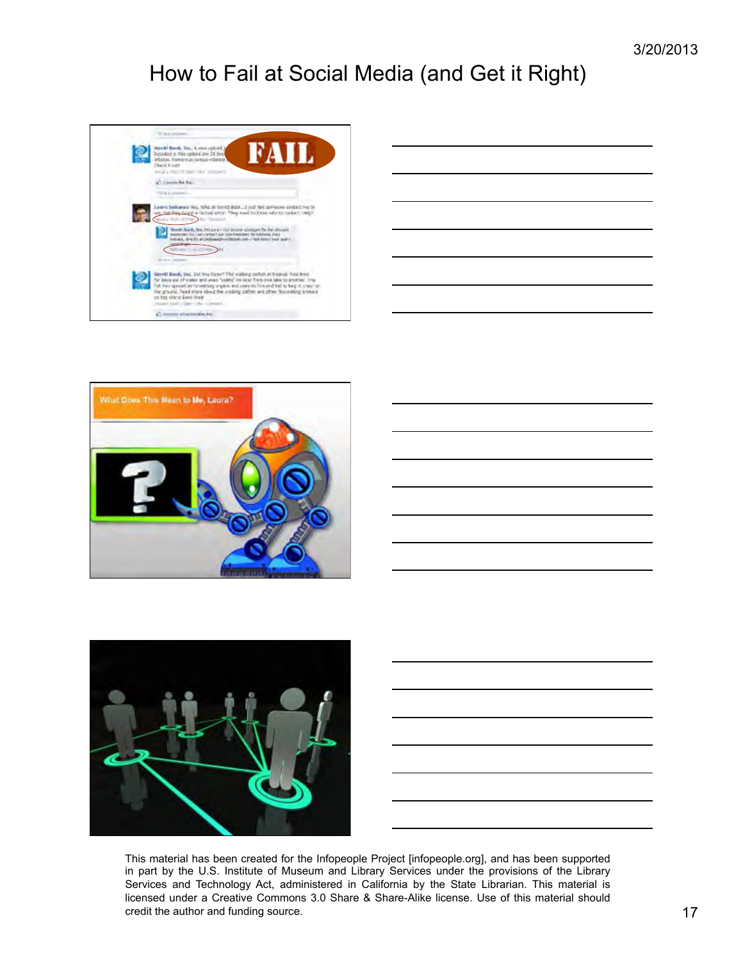

| <u> 1989 - Johann Barn, amerikansk politiker (d. 1989)</u>                                                            |  |                          |
|-----------------------------------------------------------------------------------------------------------------------|--|--------------------------|
| <u> 1989 - Johann Barn, amerikansk politiker (d. 1989)</u>                                                            |  |                          |
|                                                                                                                       |  |                          |
| <u> 1980 - Johann John Stein, mars an deus Amerikaansk kommunister (</u>                                              |  |                          |
| <u> 1989 - Johann Barn, mars ann an t-Amhain an t-Amhain an t-Amhain an t-Amhain an t-Amhain an t-Amhain an t-Amh</u> |  |                          |
| <u> 1989 - Johann Barn, mars ann an t-Amhair an t-Amhair an t-Amhair an t-Amhair an t-Amhair an t-Amhair an t-Amh</u> |  |                          |
|                                                                                                                       |  | $\overline{\phantom{a}}$ |
| the contract of the contract of the                                                                                   |  |                          |
|                                                                                                                       |  |                          |



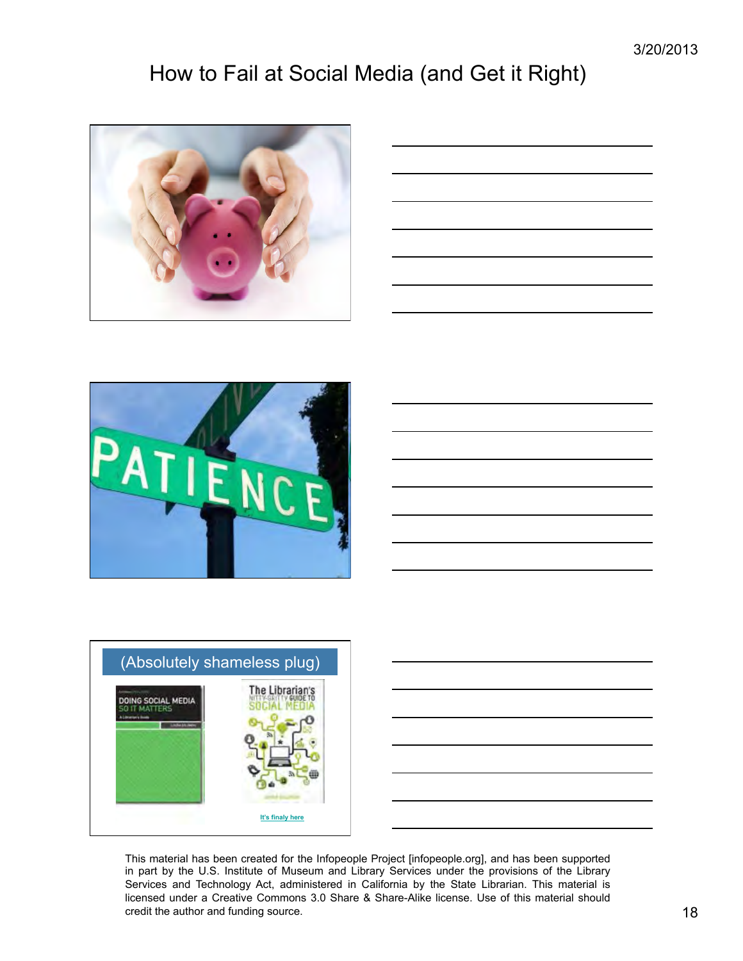









This material has been created for the Infopeople Project [infopeople.org], and has been supported in part by the U.S. Institute of Museum and Library Services under the provisions of the Library Services and Technology Act, administered in California by the State Librarian. This material is licensed under a Creative Commons 3.0 Share & Share-Alike license. Use of this material should credit the author and funding source. 18 and the source of the state of the state of the state of the state of the state of the state of the state of the state of the state of the state of the state of the state of the sta